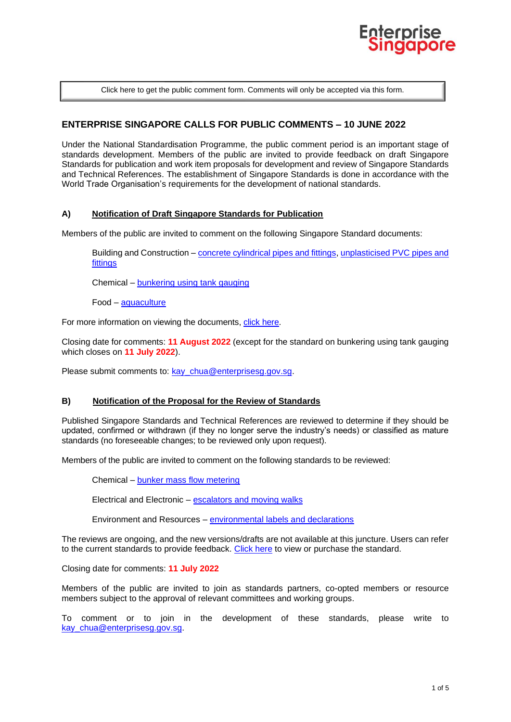

[Click here to get the public comment form. Comments will only be accepted via this form.](https://www.enterprisesg.gov.sg/-/media/ESG/Files/Quality%20and%20Standards/Standards/Public_comment_form)

# **ENTERPRISE SINGAPORE CALLS FOR PUBLIC COMMENTS – 10 JUNE 2022**

Under the National Standardisation Programme, the public comment period is an important stage of standards development. Members of the public are invited to provide feedback on draft Singapore Standards for publication and work item proposals for development and review of Singapore Standards and Technical References. The establishment of Singapore Standards is done in accordance with the World Trade Organisation's requirements for the development of national standards.

#### **A) Notification of Draft Singapore Standards for Publication**

Members of the public are invited to comment on the following Singapore Standard documents:

Building and Construction – [concrete cylindrical pipes and fittings,](#page-1-0) [unplasticised PVC pipes and](#page-1-1)  [fittings](#page-1-1)

Chemical – [bunkering using tank gauging](#page-2-0)

Food – [aquaculture](#page-2-1)

For more information on viewing the documents, [click here.](#page-2-2)

Closing date for comments: **11 August 2022** (except for the standard on bunkering using tank gauging which closes on **11 July 2022**).

Please submit comments to: kay chua@enterprisesg.gov.sg.

#### **B) Notification of the Proposal for the Review of Standards**

Published Singapore Standards and Technical References are reviewed to determine if they should be updated, confirmed or withdrawn (if they no longer serve the industry's needs) or classified as mature standards (no foreseeable changes; to be reviewed only upon request).

Members of the public are invited to comment on the following standards to be reviewed:

Chemical – [bunker mass flow metering](#page-3-0)

Electrical and Electronic – [escalators and moving walks](#page-3-1)

Environment and Resources – [environmental labels](#page-3-2) and declarations

The reviews are ongoing, and the new versions/drafts are not available at this juncture. Users can refer to the current standards to provide feedback. [Click here](#page-2-2) to view or purchase the standard.

Closing date for comments: **11 July 2022**

Members of the public are invited to join as standards partners, co-opted members or resource members subject to the approval of relevant committees and working groups.

To comment or to join in the development of these standards, please write to kay chua@enterprisesg.gov.sg.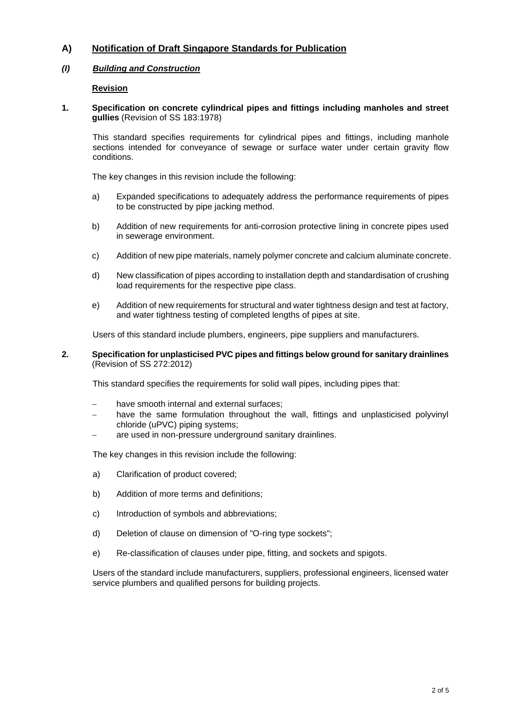# **A) Notification of Draft Singapore Standards for Publication**

# *(I) Building and Construction*

## <span id="page-1-0"></span>**Revision**

**1. Specification on concrete cylindrical pipes and fittings including manholes and street gullies** (Revision of SS 183:1978)

This standard specifies requirements for cylindrical pipes and fittings, including manhole sections intended for conveyance of sewage or surface water under certain gravity flow conditions.

The key changes in this revision include the following:

- a) Expanded specifications to adequately address the performance requirements of pipes to be constructed by pipe jacking method.
- b) Addition of new requirements for anti-corrosion protective lining in concrete pipes used in sewerage environment.
- c) Addition of new pipe materials, namely polymer concrete and calcium aluminate concrete.
- d) New classification of pipes according to installation depth and standardisation of crushing load requirements for the respective pipe class.
- e) Addition of new requirements for structural and water tightness design and test at factory, and water tightness testing of completed lengths of pipes at site.

<span id="page-1-1"></span>Users of this standard include plumbers, engineers, pipe suppliers and manufacturers.

#### **2. Specification for unplasticised PVC pipes and fittings below ground for sanitary drainlines** (Revision of SS 272:2012)

This standard specifies the requirements for solid wall pipes, including pipes that:

- have smooth internal and external surfaces;
- have the same formulation throughout the wall, fittings and unplasticised polyvinyl chloride (uPVC) piping systems;
- are used in non-pressure underground sanitary drainlines.

The key changes in this revision include the following:

- a) Clarification of product covered;
- b) Addition of more terms and definitions;
- c) Introduction of symbols and abbreviations;
- d) Deletion of clause on dimension of "O-ring type sockets";
- e) Re-classification of clauses under pipe, fitting, and sockets and spigots.

Users of the standard include manufacturers, suppliers, professional engineers, licensed water service plumbers and qualified persons for building projects.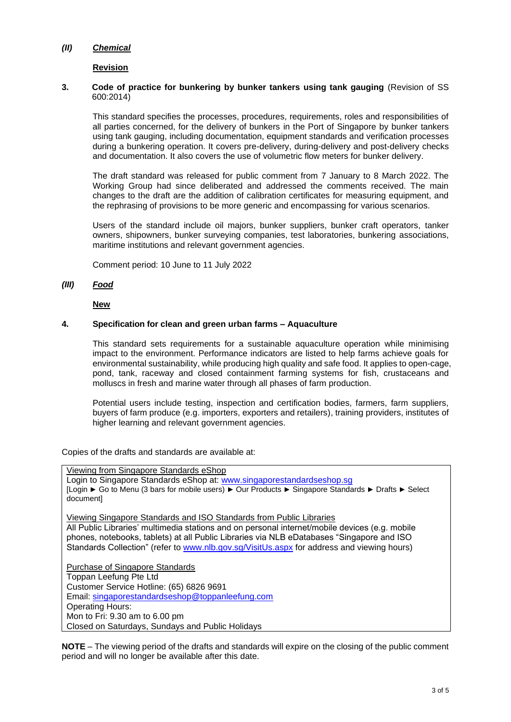## *(II) Chemical*

## <span id="page-2-0"></span>**Revision**

## **3. Code of practice for bunkering by bunker tankers using tank gauging** (Revision of SS 600:2014)

This standard specifies the processes, procedures, requirements, roles and responsibilities of all parties concerned, for the delivery of bunkers in the Port of Singapore by bunker tankers using tank gauging, including documentation, equipment standards and verification processes during a bunkering operation. It covers pre-delivery, during-delivery and post-delivery checks and documentation. It also covers the use of volumetric flow meters for bunker delivery.

The draft standard was released for public comment from 7 January to 8 March 2022. The Working Group had since deliberated and addressed the comments received. The main changes to the draft are the addition of calibration certificates for measuring equipment, and the rephrasing of provisions to be more generic and encompassing for various scenarios.

Users of the standard include oil majors, bunker suppliers, bunker craft operators, tanker owners, shipowners, bunker surveying companies, test laboratories, bunkering associations, maritime institutions and relevant government agencies.

Comment period: 10 June to 11 July 2022

## *(III) Food*

<span id="page-2-1"></span>**New**

### **4. Specification for clean and green urban farms – Aquaculture**

This standard sets requirements for a sustainable aquaculture operation while minimising impact to the environment. Performance indicators are listed to help farms achieve goals for environmental sustainability, while producing high quality and safe food. It applies to open-cage, pond, tank, raceway and closed containment farming systems for fish, crustaceans and molluscs in fresh and marine water through all phases of farm production.

Potential users include testing, inspection and certification bodies, farmers, farm suppliers, buyers of farm produce (e.g. importers, exporters and retailers), training providers, institutes of higher learning and relevant government agencies.

<span id="page-2-2"></span>Copies of the drafts and standards are available at:

Viewing from Singapore Standards eShop Login to Singapore Standards eShop at: [www.singaporestandardseshop.sg](http://www.singaporestandardseshop.sg/) [Login ► Go to Menu (3 bars for mobile users) ► Our Products ► Singapore Standards ► Drafts ► Select document] Viewing Singapore Standards and ISO Standards from Public Libraries All Public Libraries' multimedia stations and on personal internet/mobile devices (e.g. mobile phones, notebooks, tablets) at all Public Libraries via NLB eDatabases "Singapore and ISO Standards Collection" (refer to [www.nlb.gov.sg/VisitUs.aspx](http://www.nlb.gov.sg/VisitUs.aspx) for address and viewing hours) Purchase of Singapore Standards Toppan Leefung Pte Ltd Customer Service Hotline: (65) 6826 9691 Email: [singaporestandardseshop@toppanleefung.com](mailto:singaporestandardseshop@toppanleefung.com) Operating Hours: Mon to Fri: 9.30 am to 6.00 pm Closed on Saturdays, Sundays and Public Holidays

**NOTE** – The viewing period of the drafts and standards will expire on the closing of the public comment period and will no longer be available after this date.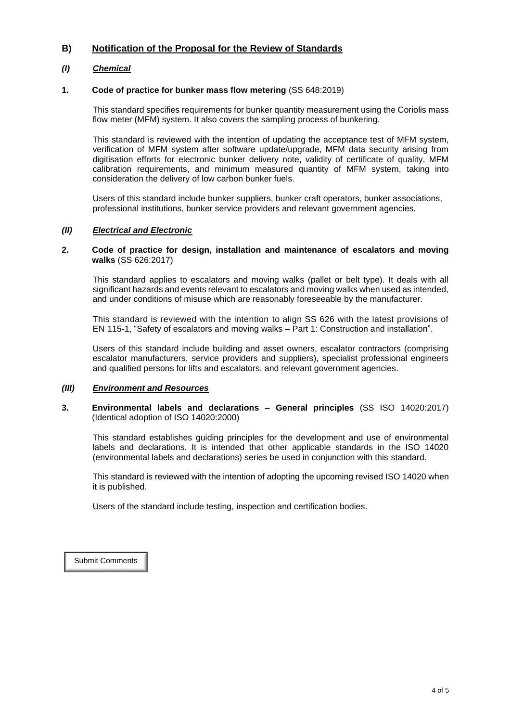# **B) Notification of the Proposal for the Review of Standards**

# *(I) Chemical*

## **1. Code of practice for bunker mass flow metering** (SS 648:2019)

<span id="page-3-0"></span>This standard specifies requirements for bunker quantity measurement using the Coriolis mass flow meter (MFM) system. It also covers the sampling process of bunkering.

This standard is reviewed with the intention of updating the acceptance test of MFM system, verification of MFM system after software update/upgrade, MFM data security arising from digitisation efforts for electronic bunker delivery note, validity of certificate of quality, MFM calibration requirements, and minimum measured quantity of MFM system, taking into consideration the delivery of low carbon bunker fuels.

Users of this standard include bunker suppliers, bunker craft operators, bunker associations, professional institutions, bunker service providers and relevant government agencies.

# *(II) Electrical and Electronic*

### <span id="page-3-1"></span>**2. Code of practice for design, installation and maintenance of escalators and moving walks** (SS 626:2017)

This standard applies to escalators and moving walks (pallet or belt type). It deals with all significant hazards and events relevant to escalators and moving walks when used as intended, and under conditions of misuse which are reasonably foreseeable by the manufacturer.

This standard is reviewed with the intention to align SS 626 with the latest provisions of EN 115-1, "Safety of escalators and moving walks – Part 1: Construction and installation".

Users of this standard include building and asset owners, escalator contractors (comprising escalator manufacturers, service providers and suppliers), specialist professional engineers and qualified persons for lifts and escalators, and relevant government agencies.

## *(III) Environment and Resources*

#### <span id="page-3-2"></span>**3. Environmental labels and declarations – General principles** (SS ISO 14020:2017) (Identical adoption of ISO 14020:2000)

This standard establishes guiding principles for the development and use of environmental labels and declarations. It is intended that other applicable standards in the ISO 14020 (environmental labels and declarations) series be used in conjunction with this standard.

This standard is reviewed with the intention of adopting the upcoming revised ISO 14020 when it is published.

Users of the standard include testing, inspection and certification bodies.

[Submit Comments](https://www.enterprisesg.gov.sg/-/media/ESG/Files/Quality%20and%20Standards/Standards/Public_comment_form)